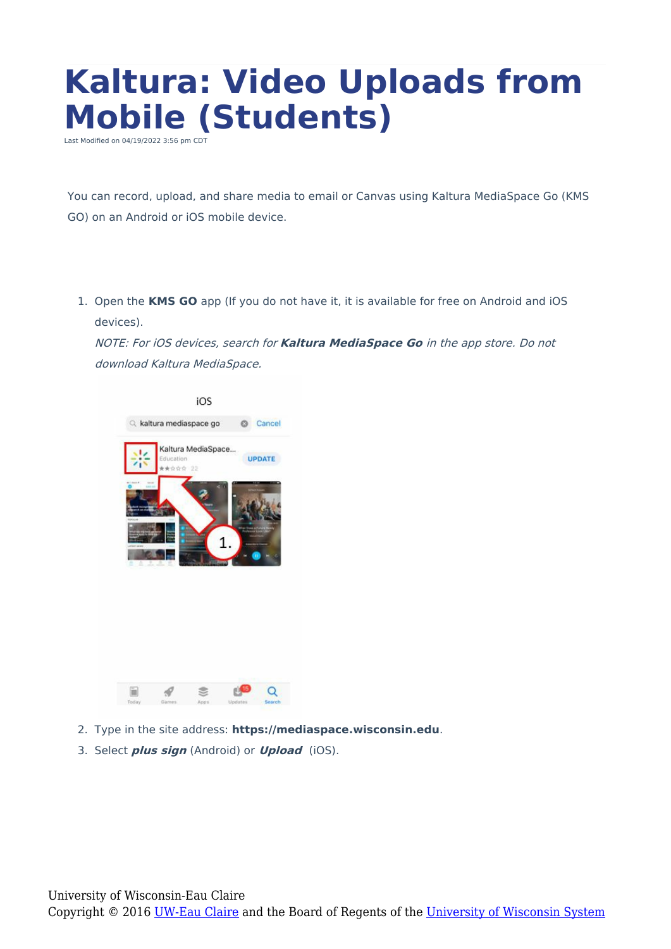## **Kaltura: Video Uploads from Mobile (Students)**

Last Modified on 04/19/2022 3:56 pm CDT

You can record, upload, and share media to email or Canvas using Kaltura MediaSpace Go (KMS GO) on an Android or iOS mobile device.

1. Open the **KMS GO** app (If you do not have it, it is available for free on Android and iOS devices).

NOTE: For iOS devices, search for **Kaltura MediaSpace Go** in the app store. Do not download Kaltura MediaSpace.



- 2. Type in the site address: **https://mediaspace.wisconsin.edu**.
- 3. Select **plus sign** (Android) or **Upload** (iOS).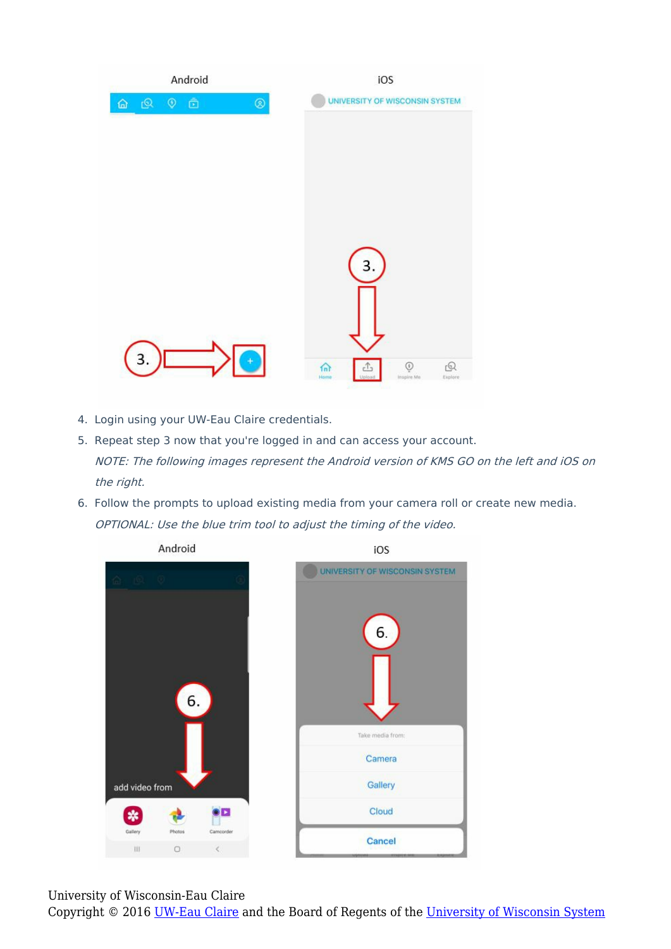

- 4. Login using your UW-Eau Claire credentials.
- 5. Repeat step 3 now that you're logged in and can access your account. NOTE: The following images represent the Android version of KMS GO on the left and iOS on the right.
- 6. Follow the prompts to upload existing media from your camera roll or create new media. OPTIONAL: Use the blue trim tool to adjust the timing of the video.





6.

Take media from:

Camera

Gallery

Cloud

Cancel

University of Wisconsin-Eau Claire

Copyright © 2016 [UW-Eau Claire](http://www.uwec.edu) and the Board of Regents of the [University of Wisconsin System](http://www.uwsa.edu/)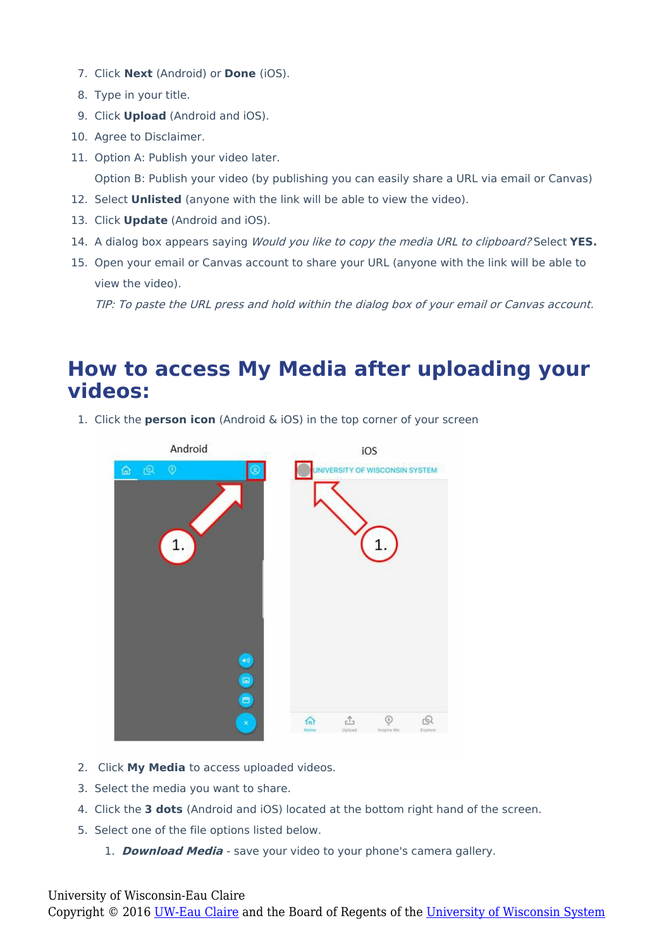- 7. Click **Next** (Android) or **Done** (iOS).
- 8. Type in your title.
- 9. Click **Upload** (Android and iOS).
- 10. Agree to Disclaimer.
- 11. Option A: Publish your video later.

Option B: Publish your video (by publishing you can easily share a URL via email or Canvas)

- 12. Select **Unlisted** (anyone with the link will be able to view the video).
- 13. Click **Update** (Android and iOS).
- 14. A dialog box appears saying Would you like to copy the media URL to clipboard? Select **YES.**
- 15. Open your email or Canvas account to share your URL (anyone with the link will be able to view the video).

TIP: To paste the URL press and hold within the dialog box of your email or Canvas account.

## **How to access My Media after uploading your videos:**

1. Click the **person icon** (Android & iOS) in the top corner of your screen



- 2. Click **My Media** to access uploaded videos.
- 3. Select the media you want to share.
- 4. Click the **3 dots** (Android and iOS) located at the bottom right hand of the screen.
- 5. Select one of the file options listed below.
	- 1. **Download Media** save your video to your phone's camera gallery.

## University of Wisconsin-Eau Claire

Copyright © 2016 [UW-Eau Claire](http://www.uwec.edu) and the Board of Regents of the [University of Wisconsin System](http://www.uwsa.edu/)